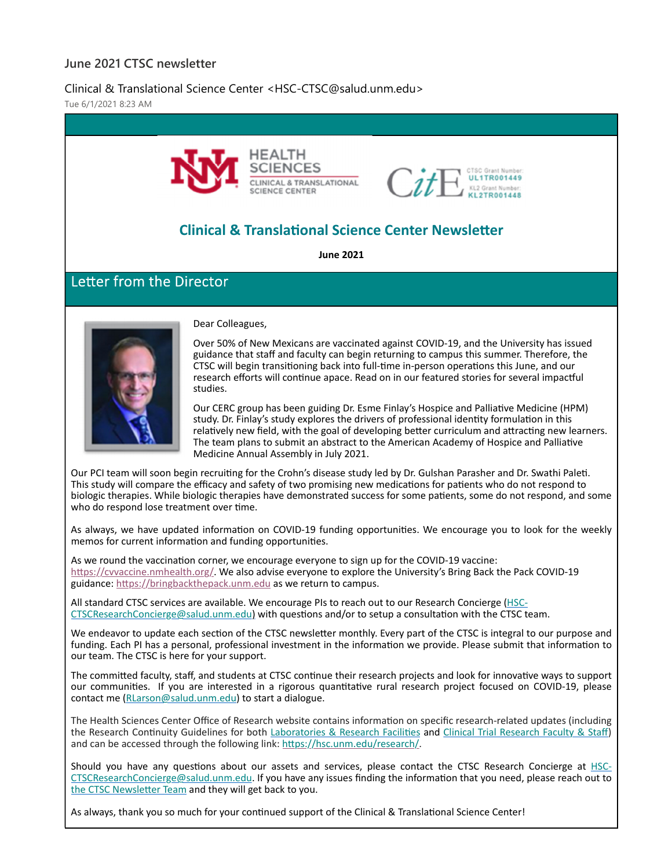### **June 2021 CTSC newsletter**

### Clinical & Translational Science Center <HSC-CTSC@salud.unm.edu>

Tue 6/1/2021 8:23 AM



As we round the vaccination corner, we encourage everyone to sign up for the COVID-19 vaccine: https://cvvaccine.nmhealth.org/. We also advise everyone to explore the University's Bring Back the Pack COVID-19 guidance: https://bringbackthepack.unm.edu as we return to campus.

All standard CTSC services are available. We encourage PIs to reach out to our Research Concierge (HSC‐ CTSCResearchConcierge@salud.unm.edu) with questions and/or to setup a consultation with the CTSC team.

We endeavor to update each section of the CTSC newsletter monthly. Every part of the CTSC is integral to our purpose and funding. Each PI has a personal, professional investment in the information we provide. Please submit that information to our team. The CTSC is here for your support.

The committed faculty, staff, and students at CTSC continue their research projects and look for innovative ways to support our communities. If you are interested in a rigorous quantitative rural research project focused on COVID-19, please contact me (RLarson@salud.unm.edu) to start a dialogue.

The Health Sciences Center Office of Research website contains information on specific research-related updates (including the Research Continuity Guidelines for both Laboratories & Research Facilities and Clinical Trial Research Faculty & Staff) and can be accessed through the following link: https://hsc.unm.edu/research/.

Should you have any questions about our assets and services, please contact the CTSC Research Concierge at HSC-CTSCResearchConcierge@salud.unm.edu. If you have any issues finding the information that you need, please reach out to the CTSC Newsletter Team and they will get back to you.

As always, thank you so much for your continued support of the Clinical & Translational Science Center!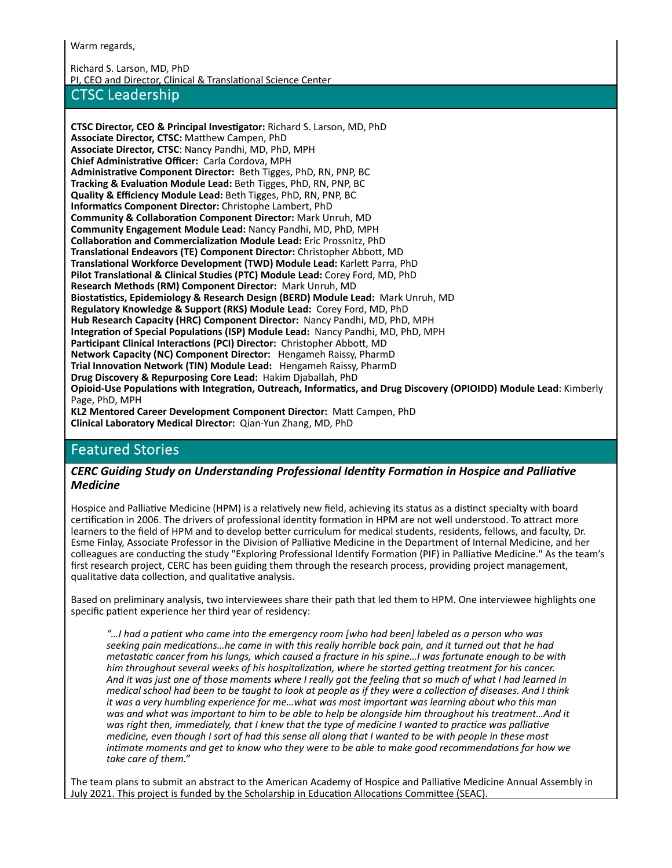Warm regards,

Richard S. Larson, MD, PhD PI, CEO and Director, Clinical & Translational Science Center

### CTSC Leadership

**CTSC Director, CEO & Principal Investigator:** Richard S. Larson, MD, PhD **Associate Director, CTSC:** MaƩhew Campen, PhD **Associate Director, CTSC**: Nancy Pandhi, MD, PhD, MPH **Chief AdministraƟve Officer:** Carla Cordova, MPH **AdministraƟve Component Director:** Beth Tigges, PhD, RN, PNP, BC **Tracking & Evaluation Module Lead:** Beth Tigges, PhD, RN, PNP, BC **Quality & Efficiency Module Lead:** Beth Tigges, PhD, RN, PNP, BC **InformaƟcs Component Director:** Christophe Lambert, PhD **Community & CollaboraƟon Component Director:** Mark Unruh, MD **Community Engagement Module Lead:** Nancy Pandhi, MD, PhD, MPH **CollaboraƟon and CommercializaƟon Module Lead:** Eric Prossnitz, PhD **TranslaƟonal Endeavors (TE) Component Director:** Christopher AbboƩ, MD **TranslaƟonal Workforce Development (TWD) Module Lead:** KarleƩ Parra, PhD **Pilot TranslaƟonal & Clinical Studies (PTC) Module Lead:** Corey Ford, MD, PhD **Research Methods (RM) Component Director:** Mark Unruh, MD **BiostaƟsƟcs, Epidemiology & Research Design (BERD) Module Lead:** Mark Unruh, MD **Regulatory Knowledge & Support (RKS) Module Lead:** Corey Ford, MD, PhD **Hub Research Capacity (HRC) Component Director:** Nancy Pandhi, MD, PhD, MPH **IntegraƟon of Special PopulaƟons (ISP) Module Lead:** Nancy Pandhi, MD, PhD, MPH **ParƟcipant Clinical InteracƟons (PCI) Director:** Christopher AbboƩ, MD **Network Capacity (NC) Component Director:** Hengameh Raissy, PharmD **Trial InnovaƟon Network (TIN) Module Lead:** Hengameh Raissy, PharmD **Drug Discovery & Repurposing Core Lead:** Hakim Djaballah, PhD Opioid-Use Populations with Integration, Outreach, Informatics, and Drug Discovery (OPIOIDD) Module Lead: Kimberly Page, PhD, MPH **KL2 Mentored Career Development Component Director:** MaƩ Campen, PhD **Clinical Laboratory Medical Director:** Qian‐Yun Zhang, MD, PhD

## Featured Stories

#### *CERC Guiding Study on Understanding Professional IdenƟty FormaƟon in Hospice and PalliaƟve Medicine*

Hospice and Palliative Medicine (HPM) is a relatively new field, achieving its status as a distinct specialty with board certification in 2006. The drivers of professional identity formation in HPM are not well understood. To attract more learners to the field of HPM and to develop better curriculum for medical students, residents, fellows, and faculty, Dr. Esme Finlay, Associate Professor in the Division of Palliative Medicine in the Department of Internal Medicine, and her colleagues are conducting the study "Exploring Professional Identify Formation (PIF) in Palliative Medicine." As the team's first research project, CERC has been guiding them through the research process, providing project management, qualitative data collection, and qualitative analysis.

Based on preliminary analysis, two interviewees share their path that led them to HPM. One interviewee highlights one specific patient experience her third year of residency:

"...I had a patient who came into the emergency room [who had been] labeled as a person who was seeking pain medications...he came in with this really horrible back pain, and it turned out that he had metastatic cancer from his lungs, which caused a fracture in his spine...! was fortunate enough to be with him throughout several weeks of his hospitalization, where he started getting treatment for his cancer. And it was just one of those moments where I really got the feeling that so much of what I had learned in medical school had been to be taught to look at people as if they were a collection of diseases. And I think *it was a very humbling experience for me…what was most important was learning about who this man* was and what was important to him to be able to help be alongside him throughout his treatment...And it was right then, immediately, that I knew that the type of medicine I wanted to practice was palliative medicine, even though I sort of had this sense all along that I wanted to be with people in these most intimate moments and get to know who they were to be able to make good recommendations for how we *take care of them."*

The team plans to submit an abstract to the American Academy of Hospice and Palliative Medicine Annual Assembly in July 2021. This project is funded by the Scholarship in Education Allocations Committee (SEAC).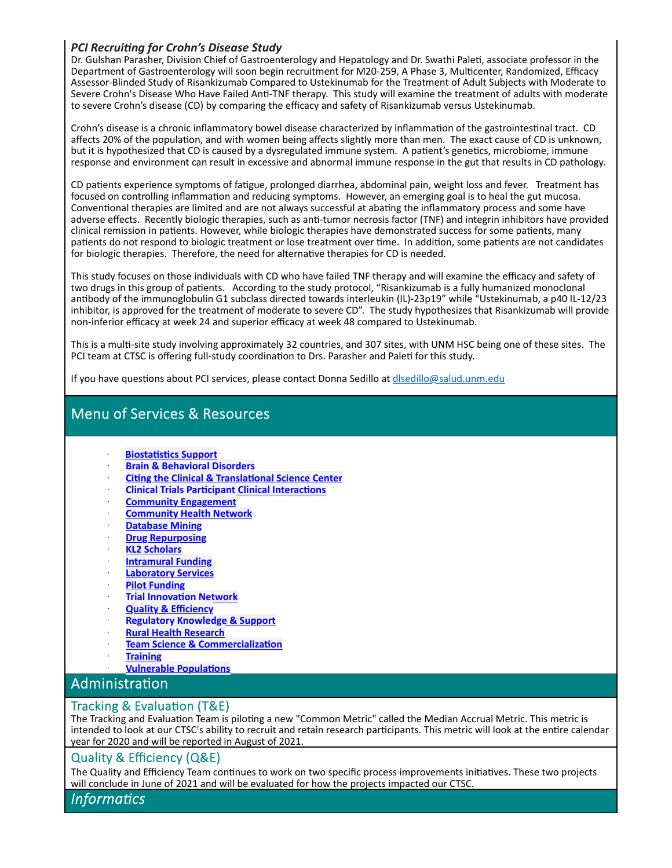### *PCI RecruiƟng for Crohn's Disease Study*

Dr. Gulshan Parasher, Division Chief of Gastroenterology and Hepatology and Dr. Swathi Paleti, associate professor in the Department of Gastroenterology will soon begin recruitment for M20-259, A Phase 3, Multicenter, Randomized, Efficacy Assessor‐Blinded Study of Risankizumab Compared to Ustekinumab for the Treatment of Adult Subjects with Moderate to Severe Crohn's Disease Who Have Failed Anti-TNF therapy. This study will examine the treatment of adults with moderate to severe Crohn's disease (CD) by comparing the efficacy and safety of Risankizumab versus Ustekinumab.

Crohn's disease is a chronic inflammatory bowel disease characterized by inflammation of the gastrointestinal tract. CD affects 20% of the population, and with women being affects slightly more than men. The exact cause of CD is unknown, but it is hypothesized that CD is caused by a dysregulated immune system. A patient's genetics, microbiome, immune response and environment can result in excessive and abnormal immune response in the gut that results in CD pathology.

CD patients experience symptoms of fatigue, prolonged diarrhea, abdominal pain, weight loss and fever. Treatment has focused on controlling inflammation and reducing symptoms. However, an emerging goal is to heal the gut mucosa. Conventional therapies are limited and are not always successful at abating the inflammatory process and some have adverse effects. Recently biologic therapies, such as anti-tumor necrosis factor (TNF) and integrin inhibitors have provided clinical remission in patients. However, while biologic therapies have demonstrated success for some patients, many patients do not respond to biologic treatment or lose treatment over time. In addition, some patients are not candidates for biologic therapies. Therefore, the need for alternative therapies for CD is needed.

This study focuses on those individuals with CD who have failed TNF therapy and will examine the efficacy and safety of two drugs in this group of patients. According to the study protocol, "Risankizumab is a fully humanized monoclonal antibody of the immunoglobulin G1 subclass directed towards interleukin (IL)-23p19" while "Ustekinumab, a p40 IL-12/23 inhibitor, is approved for the treatment of moderate to severe CD". The study hypothesizes that Risankizumab will provide non‐inferior efficacy at week 24 and superior efficacy at week 48 compared to Ustekinumab.

This is a multi-site study involving approximately 32 countries, and 307 sites, with UNM HSC being one of these sites. The PCI team at CTSC is offering full-study coordination to Drs. Parasher and Paleti for this study.

If you have questions about PCI services, please contact Donna Sedillo at disedillo@salud.unm.edu

# Menu of Services & Resources

- ꞏ **BiostaƟsƟcs Support**
- ꞏ **Brain & Behavioral Disorders**
- ꞏ **CiƟng the Clinical & TranslaƟonal Science Center**
- ꞏ **Clinical Trials ParƟcipant Clinical InteracƟons**
- ꞏ **Community Engagement**
- ꞏ **Community Health Network**
- ꞏ **Database Mining**
- ꞏ **Drug Repurposing**
- ꞏ **KL2 Scholars**
- ꞏ **Intramural Funding**
- ꞏ **Laboratory Services**
- ꞏ **Pilot Funding**
- ꞏ **Trial InnovaƟon Network**
- ꞏ **Quality & Efficiency**
- ꞏ **Regulatory Knowledge & Support**
- ꞏ **Rural Health Research**
- **Team Science & Commercialization**
- ꞏ **Training**
- ꞏ **Vulnerable PopulaƟons**

### **Administration**

### Tracking & Evaluation (T&E)

The Tracking and Evaluation Team is piloting a new "Common Metric" called the Median Accrual Metric. This metric is intended to look at our CTSC's ability to recruit and retain research participants. This metric will look at the entire calendar year for 2020 and will be reported in August of 2021.

### Quality & Efficiency (Q&E)

The Quality and Efficiency Team continues to work on two specific process improvements initiatives. These two projects will conclude in June of 2021 and will be evaluated for how the projects impacted our CTSC.

### *InformaƟcs*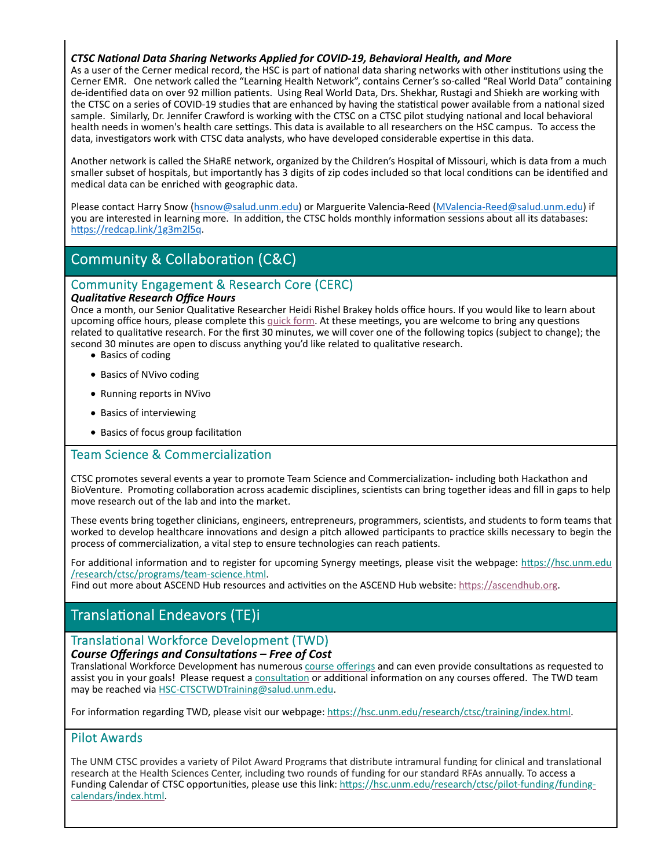#### *CTSC NaƟonal Data Sharing Networks Applied for COVID‐19, Behavioral Health, and More*

As a user of the Cerner medical record, the HSC is part of national data sharing networks with other institutions using the Cerner EMR. One network called the "Learning Health Network", contains Cerner's so‐called "Real World Data" containing de-identified data on over 92 million patients. Using Real World Data, Drs. Shekhar, Rustagi and Shiekh are working with the CTSC on a series of COVID-19 studies that are enhanced by having the statistical power available from a national sized sample. Similarly, Dr. Jennifer Crawford is working with the CTSC on a CTSC pilot studying national and local behavioral health needs in women's health care settings. This data is available to all researchers on the HSC campus. To access the data, investigators work with CTSC data analysts, who have developed considerable expertise in this data.

Another network is called the SHaRE network, organized by the Children's Hospital of Missouri, which is data from a much smaller subset of hospitals, but importantly has 3 digits of zip codes included so that local conditions can be identified and medical data can be enriched with geographic data.

Please contact Harry Snow (hsnow@salud.unm.edu) or Marguerite Valencia‐Reed (MValencia‐Reed@salud.unm.edu) if you are interested in learning more. In addition, the CTSC holds monthly information sessions about all its databases: https://redcap.link/1g3m2l5q.

# Community & Collaboration (C&C)

# Community Engagement & Research Core (CERC)

#### *QualitaƟve Research Office Hours*

Once a month, our Senior Qualitative Researcher Heidi Rishel Brakey holds office hours. If you would like to learn about upcoming office hours, please complete this quick form. At these meetings, you are welcome to bring any questions related to qualitative research. For the first 30 minutes, we will cover one of the following topics (subject to change); the second 30 minutes are open to discuss anything you'd like related to qualitative research.

- Basics of coding
- Basics of NVivo coding
- Running reports in NVivo
- Basics of interviewing
- Basics of focus group facilitation

### Team Science & Commercialization

CTSC promotes several events a year to promote Team Science and Commercialization-including both Hackathon and BioVenture. Promoting collaboration across academic disciplines, scientists can bring together ideas and fill in gaps to help move research out of the lab and into the market.

These events bring together clinicians, engineers, entrepreneurs, programmers, scientists, and students to form teams that worked to develop healthcare innovations and design a pitch allowed participants to practice skills necessary to begin the process of commercialization, a vital step to ensure technologies can reach patients.

For additional information and to register for upcoming Synergy meetings, please visit the webpage: https://hsc.unm.edu /research/ctsc/programs/team‐science.html.

Find out more about ASCEND Hub resources and activities on the ASCEND Hub website: https://ascendhub.org.

## Translational Endeavors (TE)i

### Translational Workforce Development (TWD)

#### *Course Offerings and ConsultaƟons – Free of Cost*

Translational Workforce Development has numerous course offerings and can even provide consultations as requested to assist you in your goals! Please request a consultation or additional information on any courses offered. The TWD team may be reached via HSC‐CTSCTWDTraining@salud.unm.edu.

For information regarding TWD, please visit our webpage: https://hsc.unm.edu/research/ctsc/training/index.html.

### Pilot Awards

The UNM CTSC provides a variety of Pilot Award Programs that distribute intramural funding for clinical and translational research at the Health Sciences Center, including two rounds of funding for our standard RFAs annually. To access a Funding Calendar of CTSC opportunities, please use this link: https://hsc.unm.edu/research/ctsc/pilot-funding/fundingcalendars/index.html.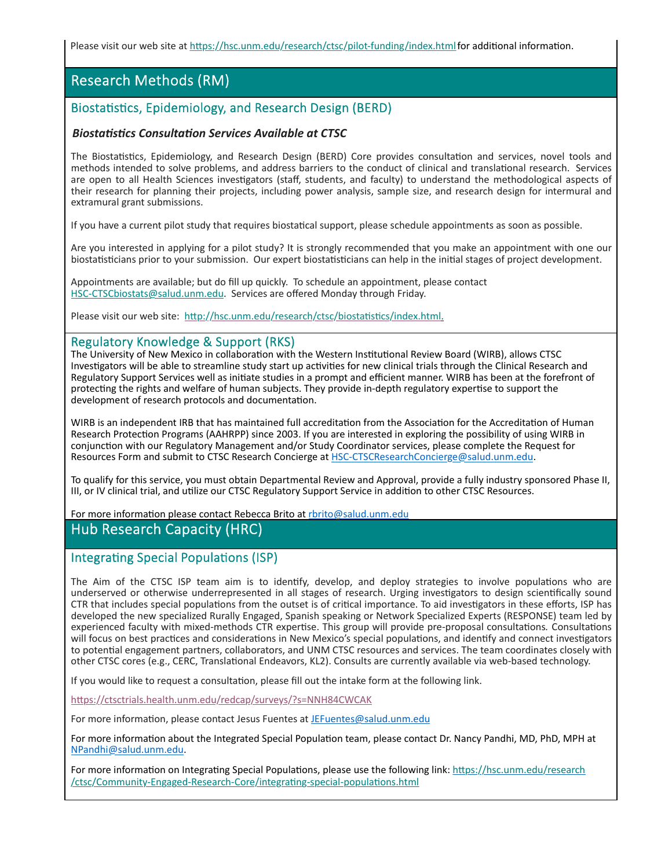Please visit our web site at https://hsc.unm.edu/research/ctsc/pilot-funding/index.html for additional information.

# Research Methods (RM)

### Biostatistics, Epidemiology, and Research Design (BERD)

#### *BiostaƟsƟcs ConsultaƟon Services Available at CTSC*

The Biostatistics, Epidemiology, and Research Design (BERD) Core provides consultation and services, novel tools and methods intended to solve problems, and address barriers to the conduct of clinical and translational research. Services are open to all Health Sciences investigators (staff, students, and faculty) to understand the methodological aspects of their research for planning their projects, including power analysis, sample size, and research design for intermural and extramural grant submissions.

If you have a current pilot study that requires biostatical support, please schedule appointments as soon as possible.

Are you interested in applying for a pilot study? It is strongly recommended that you make an appointment with one our biostatisticians prior to your submission. Our expert biostatisticians can help in the initial stages of project development.

Appointments are available; but do fill up quickly. To schedule an appointment, please contact HSC-CTSCbiostats@salud.unm.edu. Services are offered Monday through Friday.

Please visit our web site: http://hsc.unm.edu/research/ctsc/biostatistics/index.html.

#### Regulatory Knowledge & Support (RKS)

The University of New Mexico in collaboration with the Western Institutional Review Board (WIRB), allows CTSC Investigators will be able to streamline study start up activities for new clinical trials through the Clinical Research and Regulatory Support Services well as initiate studies in a prompt and efficient manner. WIRB has been at the forefront of protecting the rights and welfare of human subjects. They provide in-depth regulatory expertise to support the development of research protocols and documentation.

WIRB is an independent IRB that has maintained full accreditation from the Association for the Accreditation of Human Research Protection Programs (AAHRPP) since 2003. If you are interested in exploring the possibility of using WIRB in conjunction with our Regulatory Management and/or Study Coordinator services, please complete the Request for Resources Form and submit to CTSC Research Concierge at HSC‐CTSCResearchConcierge@salud.unm.edu.

To qualify for this service, you must obtain Departmental Review and Approval, provide a fully industry sponsored Phase II, III, or IV clinical trial, and utilize our CTSC Regulatory Support Service in addition to other CTSC Resources.

For more information please contact Rebecca Brito at rbrito@salud.unm.edu

### Hub Research Capacity (HRC)

### Integrating Special Populations (ISP)

The Aim of the CTSC ISP team aim is to identify, develop, and deploy strategies to involve populations who are underserved or otherwise underrepresented in all stages of research. Urging investigators to design scientifically sound CTR that includes special populations from the outset is of critical importance. To aid investigators in these efforts, ISP has developed the new specialized Rurally Engaged, Spanish speaking or Network Specialized Experts (RESPONSE) team led by experienced faculty with mixed-methods CTR expertise. This group will provide pre-proposal consultations. Consultations will focus on best practices and considerations in New Mexico's special populations, and identify and connect investigators to potential engagement partners, collaborators, and UNM CTSC resources and services. The team coordinates closely with other CTSC cores (e.g., CERC, Translational Endeavors, KL2). Consults are currently available via web-based technology.

If you would like to request a consultation, please fill out the intake form at the following link.

https://ctsctrials.health.unm.edu/redcap/surveys/?s=NNH84CWCAK

For more information, please contact Jesus Fuentes at JEFuentes@salud.unm.edu

For more information about the Integrated Special Population team, please contact Dr. Nancy Pandhi, MD, PhD, MPH at NPandhi@salud.unm.edu.

For more information on Integrating Special Populations, please use the following link: https://hsc.unm.edu/research /ctsc/Community-Engaged-Research-Core/integrating-special-populations.html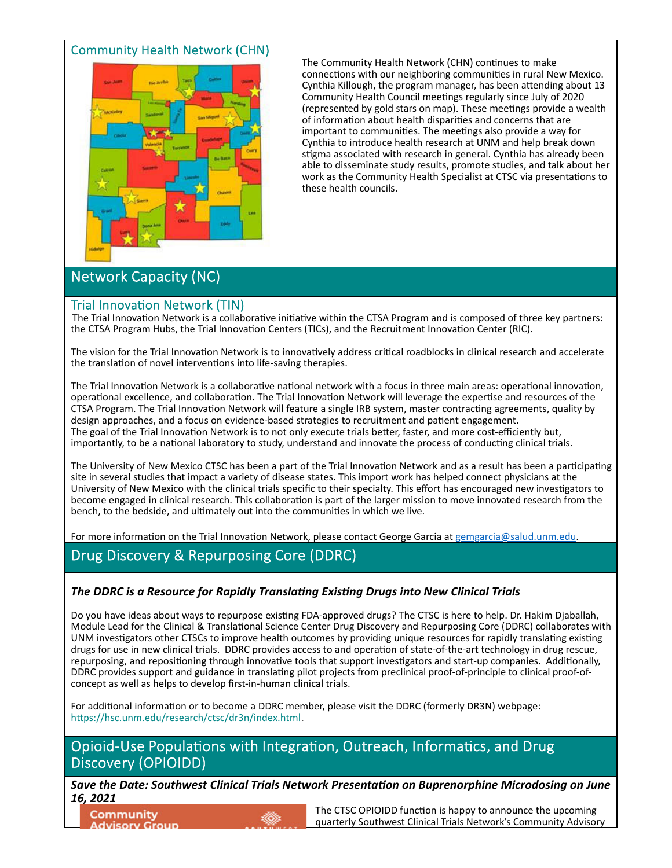# Community Health Network (CHN)



The Community Health Network (CHN) continues to make connections with our neighboring communities in rural New Mexico. Cynthia Killough, the program manager, has been attending about 13 Community Health Council meetings regularly since July of 2020 (represented by gold stars on map). These meetings provide a wealth of information about health disparities and concerns that are important to communities. The meetings also provide a way for Cynthia to introduce health research at UNM and help break down stigma associated with research in general. Cynthia has already been able to disseminate study results, promote studies, and talk about her work as the Community Health Specialist at CTSC via presentations to these health councils.

# Network Capacity (NC)

### Trial Innovation Network (TIN)

The Trial Innovation Network is a collaborative initiative within the CTSA Program and is composed of three key partners: the CTSA Program Hubs, the Trial Innovation Centers (TICs), and the Recruitment Innovation Center (RIC).

The vision for the Trial Innovation Network is to innovatively address critical roadblocks in clinical research and accelerate the translation of novel interventions into life-saving therapies.

The Trial Innovation Network is a collaborative national network with a focus in three main areas: operational innovation, operational excellence, and collaboration. The Trial Innovation Network will leverage the expertise and resources of the CTSA Program. The Trial Innovation Network will feature a single IRB system, master contracting agreements, quality by design approaches, and a focus on evidence-based strategies to recruitment and patient engagement. The goal of the Trial Innovation Network is to not only execute trials better, faster, and more cost-efficiently but, importantly, to be a national laboratory to study, understand and innovate the process of conducting clinical trials.

The University of New Mexico CTSC has been a part of the Trial Innovation Network and as a result has been a participating site in several studies that impact a variety of disease states. This import work has helped connect physicians at the University of New Mexico with the clinical trials specific to their specialty. This effort has encouraged new investigators to become engaged in clinical research. This collaboration is part of the larger mission to move innovated research from the bench, to the bedside, and ultimately out into the communities in which we live.

For more information on the Trial Innovation Network, please contact George Garcia at gemgarcia@salud.unm.edu.

# Drug Discovery & Repurposing Core (DDRC)

### *The DDRC is a Resource for Rapidly TranslaƟng ExisƟng Drugs into New Clinical Trials*

Do you have ideas about ways to repurpose existing FDA-approved drugs? The CTSC is here to help. Dr. Hakim Djaballah, Module Lead for the Clinical & Translational Science Center Drug Discovery and Repurposing Core (DDRC) collaborates with UNM investigators other CTSCs to improve health outcomes by providing unique resources for rapidly translating existing drugs for use in new clinical trials. DDRC provides access to and operation of state-of-the-art technology in drug rescue, repurposing, and repositioning through innovative tools that support investigators and start-up companies. Additionally, DDRC provides support and guidance in translating pilot projects from preclinical proof-of-principle to clinical proof-ofconcept as well as helps to develop first‐in‐human clinical trials.

For additional information or to become a DDRC member, please visit the DDRC (formerly DR3N) webpage: https://hsc.unm.edu/research/ctsc/dr3n/index.html.

Opioid-Use Populations with Integration, Outreach, Informatics, and Drug Discovery (OPIOIDD)

*Save the Date: Southwest Clinical Trials Network PresentaƟon on Buprenorphine Microdosing on June 16, 2021*

Community **Advisory Group** 



The CTSC OPIOIDD function is happy to announce the upcoming quarterly Southwest Clinical Trials Network's Community Advisory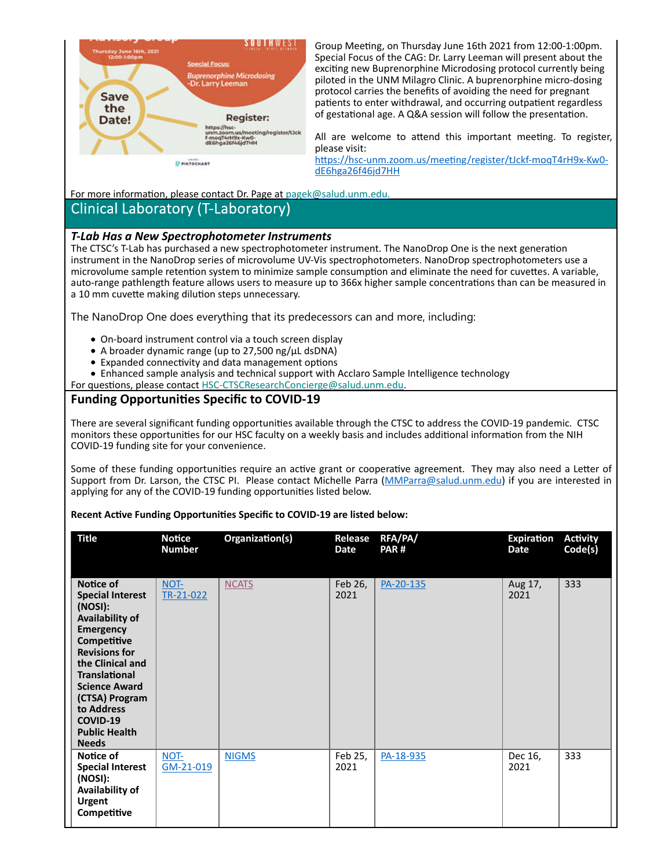

Group Meeting, on Thursday June 16th 2021 from 12:00-1:00pm. Special Focus of the CAG: Dr. Larry Leeman will present about the exciting new Buprenorphine Microdosing protocol currently being piloted in the UNM Milagro Clinic. A buprenorphine micro‐dosing protocol carries the benefits of avoiding the need for pregnant patients to enter withdrawal, and occurring outpatient regardless of gestational age. A Q&A session will follow the presentation.

All are welcome to attend this important meeting. To register, please visit:

https://hsc-unm.zoom.us/meeting/register/tJckf-moqT4rH9x-Kw0dE6hga26f46jd7HH

For more information, please contact Dr. Page at pagek@salud.unm.edu.

### Clinical Laboratory (T‐Laboratory)

#### *T‐Lab Has a New Spectrophotometer Instruments*

The CTSC's T-Lab has purchased a new spectrophotometer instrument. The NanoDrop One is the next generation instrument in the NanoDrop series of microvolume UV‐Vis spectrophotometers. NanoDrop spectrophotometers use a microvolume sample retention system to minimize sample consumption and eliminate the need for cuvettes. A variable, auto-range pathlength feature allows users to measure up to 366x higher sample concentrations than can be measured in a 10 mm cuvette making dilution steps unnecessary.

The NanoDrop One does everything that its predecessors can and more, including:

- On-board instrument control via a touch screen display
- A broader dynamic range (up to 27,500 ng/μL dsDNA)
- Expanded connectivity and data management options
- Enhanced sample analysis and technical support with Acclaro Sample Intelligence technology
- For questions, please contact HSC-CTSCResearchConcierge@salud.unm.edu.

### **Funding OpportuniƟes Specific to COVID‐19**

There are several significant funding opportunities available through the CTSC to address the COVID-19 pandemic. CTSC monitors these opportunities for our HSC faculty on a weekly basis and includes additional information from the NIH COVID‐19 funding site for your convenience.

Some of these funding opportunities require an active grant or cooperative agreement. They may also need a Letter of Support from Dr. Larson, the CTSC PI. Please contact Michelle Parra (MMParra@salud.unm.edu) if you are interested in applying for any of the COVID-19 funding opportunities listed below.

#### **Recent AcƟve Funding OpportuniƟes Specific to COVID‐19 are listed below:**

| <b>Title</b>                                                                                                                                                                                                                                                                          | <b>Notice</b><br><b>Number</b> | Organization(s) | Release<br>Date | RFA/PA/<br>PAR# | <b>Expiration</b><br>Date | <b>Activity</b><br>Code(s) |
|---------------------------------------------------------------------------------------------------------------------------------------------------------------------------------------------------------------------------------------------------------------------------------------|--------------------------------|-----------------|-----------------|-----------------|---------------------------|----------------------------|
| Notice of<br><b>Special Interest</b><br>(NOSI):<br>Availability of<br><b>Emergency</b><br>Competitive<br><b>Revisions for</b><br>the Clinical and<br><b>Translational</b><br><b>Science Award</b><br>(CTSA) Program<br>to Address<br>COVID-19<br><b>Public Health</b><br><b>Needs</b> | NOT-<br>TR-21-022              | <b>NCATS</b>    | Feb 26,<br>2021 | PA-20-135       | Aug 17,<br>2021           | 333                        |
| Notice of<br><b>Special Interest</b><br>(NOSI):<br>Availability of<br><b>Urgent</b><br>Competitive                                                                                                                                                                                    | NOT-<br>GM-21-019              | <b>NIGMS</b>    | Feb 25,<br>2021 | PA-18-935       | Dec 16,<br>2021           | 333                        |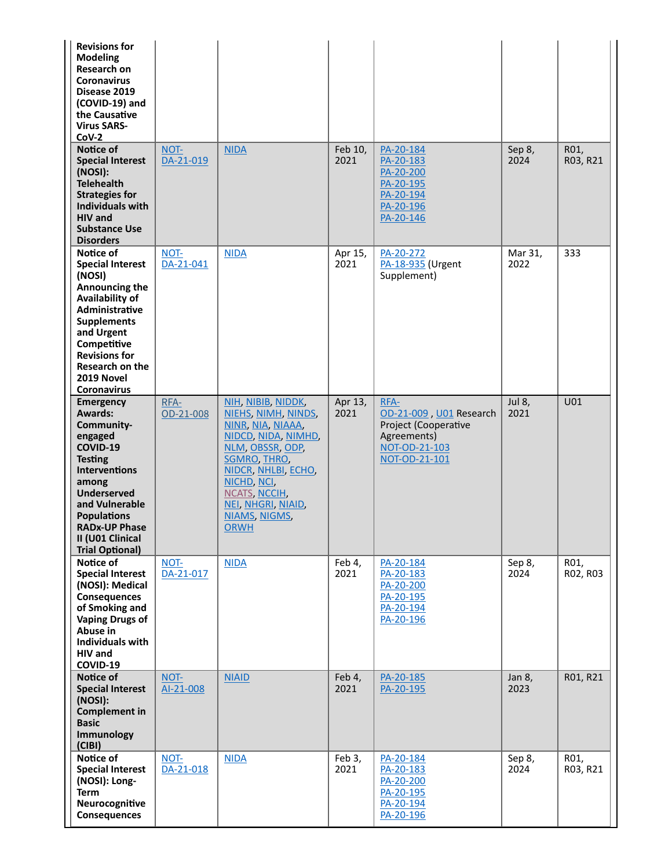| <b>Revisions for</b><br><b>Modeling</b><br>Research on<br><b>Coronavirus</b><br>Disease 2019<br>(COVID-19) and<br>the Causative<br><b>Virus SARS-</b><br>$COV-2$                                                                                        |                   |                                                                                                                                                                                                                                                      |                 |                                                                                                          |                 |                  |
|---------------------------------------------------------------------------------------------------------------------------------------------------------------------------------------------------------------------------------------------------------|-------------------|------------------------------------------------------------------------------------------------------------------------------------------------------------------------------------------------------------------------------------------------------|-----------------|----------------------------------------------------------------------------------------------------------|-----------------|------------------|
| Notice of<br><b>Special Interest</b><br>(NOSI):<br><b>Telehealth</b><br><b>Strategies for</b><br><b>Individuals with</b><br><b>HIV</b> and<br><b>Substance Use</b><br><b>Disorders</b>                                                                  | NOT-<br>DA-21-019 | <b>NIDA</b>                                                                                                                                                                                                                                          | Feb 10,<br>2021 | PA-20-184<br>PA-20-183<br>PA-20-200<br>PA-20-195<br>PA-20-194<br>PA-20-196<br>PA-20-146                  | Sep 8,<br>2024  | R01,<br>R03, R21 |
| Notice of<br><b>Special Interest</b><br>(NOSI)<br>Announcing the<br>Availability of<br><b>Administrative</b><br><b>Supplements</b><br>and Urgent<br>Competitive<br><b>Revisions for</b><br><b>Research on the</b><br>2019 Novel<br><b>Coronavirus</b>   | NOT-<br>DA-21-041 | <b>NIDA</b>                                                                                                                                                                                                                                          | Apr 15,<br>2021 | PA-20-272<br>PA-18-935 (Urgent<br>Supplement)                                                            | Mar 31,<br>2022 | 333              |
| Emergency<br><b>Awards:</b><br>Community-<br>engaged<br>COVID-19<br><b>Testing</b><br><b>Interventions</b><br>among<br><b>Underserved</b><br>and Vulnerable<br><b>Populations</b><br><b>RADx-UP Phase</b><br>II (U01 Clinical<br><b>Trial Optional)</b> | RFA-<br>OD-21-008 | NIH, NIBIB, NIDDK,<br>NIEHS, NIMH, NINDS,<br><u>NINR, NIA, NIAAA,</u><br><u>NIDCD, NIDA, NIMHD,</u><br>NLM, OBSSR, ODP,<br><b>SGMRO, THRO,</b><br>NIDCR, NHLBI, ECHO,<br>NICHD, NCI,<br>NCATS, NCCIH,<br>NEI, NHGRI, NIAID,<br>NIAMS, NIGMS,<br>ORWH | Apr 13,<br>2021 | RFA-<br>OD-21-009, U01 Research<br>Project (Cooperative<br>Agreements)<br>NOT-OD-21-103<br>NOT-OD-21-101 | Jul 8,<br>2021  | U01              |
| Notice of<br><b>Special Interest</b><br>(NOSI): Medical<br><b>Consequences</b><br>of Smoking and<br><b>Vaping Drugs of</b><br>Abuse in<br><b>Individuals with</b><br><b>HIV</b> and<br>COVID-19                                                         | NOT-<br>DA-21-017 | <b>NIDA</b>                                                                                                                                                                                                                                          | Feb 4,<br>2021  | PA-20-184<br>PA-20-183<br>PA-20-200<br>PA-20-195<br>PA-20-194<br>PA-20-196                               | Sep 8,<br>2024  | R01,<br>R02, R03 |
| Notice of<br><b>Special Interest</b><br>(NOSI):<br><b>Complement in</b><br><b>Basic</b><br>Immunology<br>(C B )                                                                                                                                         | NOT-<br>AI-21-008 | <b>NIAID</b>                                                                                                                                                                                                                                         | Feb 4,<br>2021  | PA-20-185<br>PA-20-195                                                                                   | Jan 8,<br>2023  | R01, R21         |
| Notice of<br><b>Special Interest</b><br>(NOSI): Long-<br><b>Term</b><br>Neurocognitive<br><b>Consequences</b>                                                                                                                                           | NOT-<br>DA-21-018 | <b>NIDA</b>                                                                                                                                                                                                                                          | Feb 3,<br>2021  | PA-20-184<br>PA-20-183<br>PA-20-200<br>PA-20-195<br>PA-20-194<br>PA-20-196                               | Sep 8,<br>2024  | R01,<br>R03, R21 |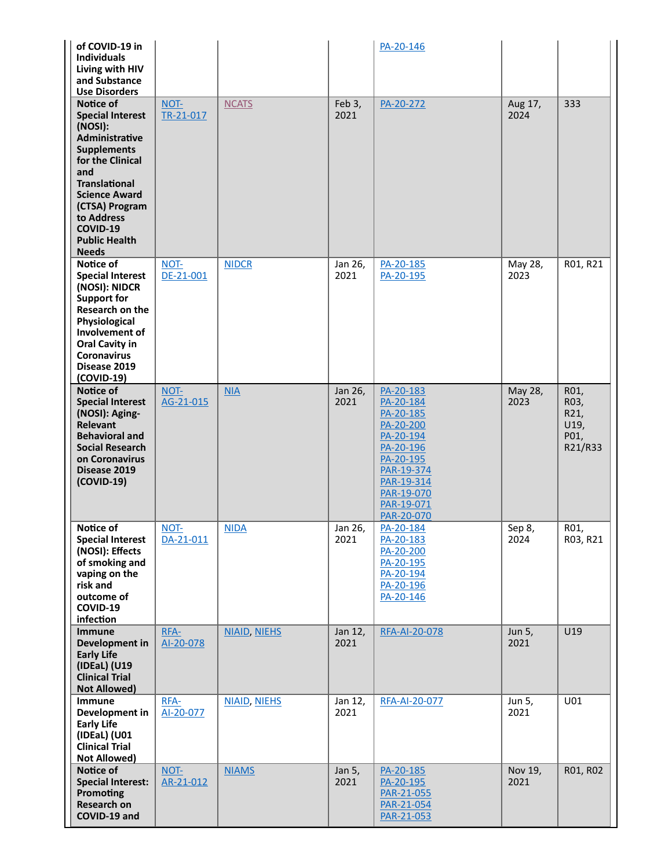| of COVID-19 in<br><b>Individuals</b><br>Living with HIV<br>and Substance                                                                                                                                                                                       |                   |                     |                 | PA-20-146                                                                                                                                                     |                 |                                                 |
|----------------------------------------------------------------------------------------------------------------------------------------------------------------------------------------------------------------------------------------------------------------|-------------------|---------------------|-----------------|---------------------------------------------------------------------------------------------------------------------------------------------------------------|-----------------|-------------------------------------------------|
| <b>Use Disorders</b><br>Notice of<br><b>Special Interest</b><br>(NOSI):<br>Administrative<br><b>Supplements</b><br>for the Clinical<br>and<br><b>Translational</b><br><b>Science Award</b><br>(CTSA) Program<br>to Address<br>COVID-19<br><b>Public Health</b> | NOT-<br>TR-21-017 | <b>NCATS</b>        | Feb 3,<br>2021  | PA-20-272                                                                                                                                                     | Aug 17,<br>2024 | 333                                             |
| <b>Needs</b><br>Notice of<br><b>Special Interest</b><br>(NOSI): NIDCR<br><b>Support for</b><br>Research on the<br>Physiological<br>Involvement of<br><b>Oral Cavity in</b><br><b>Coronavirus</b><br>Disease 2019<br>(COVID-19)                                 | NOT-<br>DE-21-001 | <b>NIDCR</b>        | Jan 26,<br>2021 | PA-20-185<br>PA-20-195                                                                                                                                        | May 28,<br>2023 | R01, R21                                        |
| Notice of<br><b>Special Interest</b><br>(NOSI): Aging-<br><b>Relevant</b><br><b>Behavioral and</b><br><b>Social Research</b><br>on Coronavirus<br>Disease 2019<br>(COVID-19)                                                                                   | NOT-<br>AG-21-015 | NIA                 | Jan 26,<br>2021 | PA-20-183<br>PA-20-184<br>PA-20-185<br>PA-20-200<br>PA-20-194<br>PA-20-196<br>PA-20-195<br>PAR-19-374<br>PAR-19-314<br>PAR-19-070<br>PAR-19-071<br>PAR-20-070 | May 28,<br>2023 | R01,<br>R03,<br>R21,<br>U19,<br>P01,<br>R21/R33 |
| Notice of<br><b>Special Interest</b><br>(NOSI): Effects<br>of smoking and<br>vaping on the<br>risk and<br>outcome of<br>COVID-19<br>infection                                                                                                                  | NOT-<br>DA-21-011 | <b>NIDA</b>         | Jan 26,<br>2021 | PA-20-184<br>PA-20-183<br>PA-20-200<br>PA-20-195<br>PA-20-194<br>PA-20-196<br>PA-20-146                                                                       | Sep 8,<br>2024  | R01,<br>R03, R21                                |
| <b>Immune</b><br>Development in<br><b>Early Life</b><br>(IDEaL) (U19<br><b>Clinical Trial</b><br><b>Not Allowed)</b>                                                                                                                                           | RFA-<br>AI-20-078 | <b>NIAID, NIEHS</b> | Jan 12,<br>2021 | <b>RFA-AI-20-078</b>                                                                                                                                          | Jun 5,<br>2021  | U19                                             |
| <b>Immune</b><br>Development in<br><b>Early Life</b><br>(IDEaL) (U01<br><b>Clinical Trial</b><br>Not Allowed)                                                                                                                                                  | RFA-<br>Al-20-077 | <b>NIAID, NIEHS</b> | Jan 12,<br>2021 | <b>RFA-AI-20-077</b>                                                                                                                                          | Jun 5,<br>2021  | U01                                             |
| Notice of<br><b>Special Interest:</b><br>Promoting<br><b>Research on</b><br>COVID-19 and                                                                                                                                                                       | NOT-<br>AR-21-012 | <b>NIAMS</b>        | Jan 5,<br>2021  | PA-20-185<br>PA-20-195<br>PAR-21-055<br>PAR-21-054<br>PAR-21-053                                                                                              | Nov 19,<br>2021 | R01, R02                                        |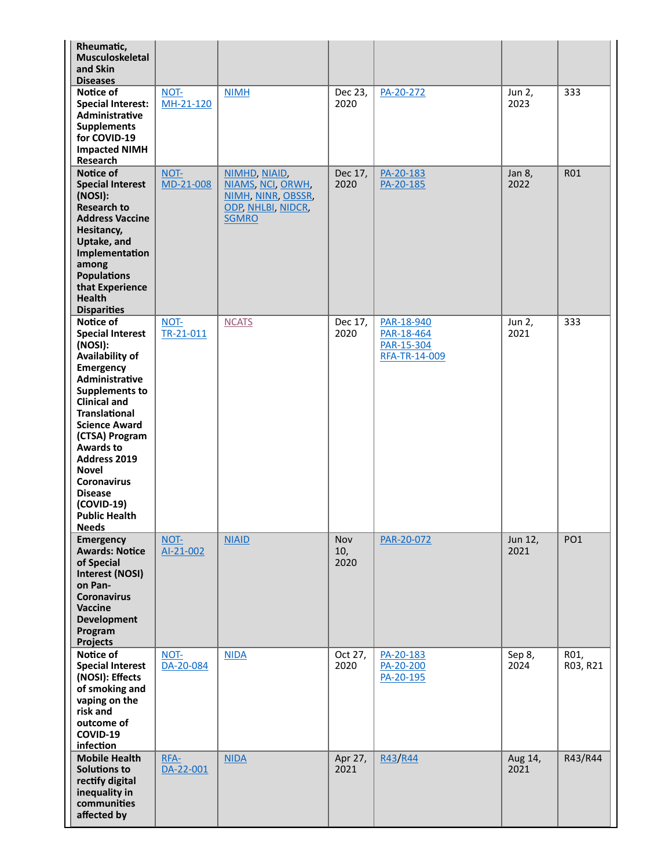| Rheumatic,<br>Musculoskeletal<br>and Skin<br><b>Diseases</b>                                                                                                                                                                                                                                                                                                            |                   |                                                                                                |                    |                                                         |                 |                  |
|-------------------------------------------------------------------------------------------------------------------------------------------------------------------------------------------------------------------------------------------------------------------------------------------------------------------------------------------------------------------------|-------------------|------------------------------------------------------------------------------------------------|--------------------|---------------------------------------------------------|-----------------|------------------|
| Notice of<br><b>Special Interest:</b><br>Administrative<br><b>Supplements</b><br>for COVID-19<br><b>Impacted NIMH</b><br>Research                                                                                                                                                                                                                                       | NOT-<br>MH-21-120 | <b>NIMH</b>                                                                                    | Dec 23,<br>2020    | PA-20-272                                               | Jun 2,<br>2023  | 333              |
| Notice of<br><b>Special Interest</b><br>(NOSI):<br><b>Research to</b><br><b>Address Vaccine</b><br>Hesitancy,<br>Uptake, and<br>Implementation<br>among<br><b>Populations</b><br>that Experience<br><b>Health</b><br><b>Disparities</b>                                                                                                                                 | NOT-<br>MD-21-008 | NIMHD, NIAID,<br>NIAMS, NCI, ORWH,<br>NIMH, NINR, OBSSR,<br>ODP, NHLBI, NIDCR,<br><b>SGMRO</b> | Dec 17,<br>2020    | PA-20-183<br>PA-20-185                                  | Jan 8,<br>2022  | <b>R01</b>       |
| Notice of<br><b>Special Interest</b><br>(NOSI):<br>Availability of<br>Emergency<br>Administrative<br><b>Supplements to</b><br><b>Clinical and</b><br><b>Translational</b><br><b>Science Award</b><br>(CTSA) Program<br><b>Awards to</b><br>Address 2019<br><b>Novel</b><br><b>Coronavirus</b><br><b>Disease</b><br>$(COVID-19)$<br><b>Public Health</b><br><b>Needs</b> | NOT-<br>TR-21-011 | <b>NCATS</b>                                                                                   | Dec 17,<br>2020    | PAR-18-940<br>PAR-18-464<br>PAR-15-304<br>RFA-TR-14-009 | Jun 2,<br>2021  | 333              |
| <b>Emergency</b><br><b>Awards: Notice</b><br>of Special<br><b>Interest (NOSI)</b><br>on Pan-<br><b>Coronavirus</b><br><b>Vaccine</b><br><b>Development</b><br>Program<br><b>Projects</b>                                                                                                                                                                                | NOT-<br>Al-21-002 | <b>NIAID</b>                                                                                   | Nov<br>10,<br>2020 | PAR-20-072                                              | Jun 12,<br>2021 | PO <sub>1</sub>  |
| Notice of<br><b>Special Interest</b><br>(NOSI): Effects<br>of smoking and<br>vaping on the<br>risk and<br>outcome of<br>COVID-19<br>infection                                                                                                                                                                                                                           | NOT-<br>DA-20-084 | <b>NIDA</b>                                                                                    | Oct 27,<br>2020    | PA-20-183<br>PA-20-200<br>PA-20-195                     | Sep 8,<br>2024  | R01,<br>R03, R21 |
| <b>Mobile Health</b><br><b>Solutions to</b><br>rectify digital<br>inequality in<br>communities<br>affected by                                                                                                                                                                                                                                                           | RFA-<br>DA-22-001 | <b>NIDA</b>                                                                                    | Apr 27,<br>2021    | R43/R44                                                 | Aug 14,<br>2021 | R43/R44          |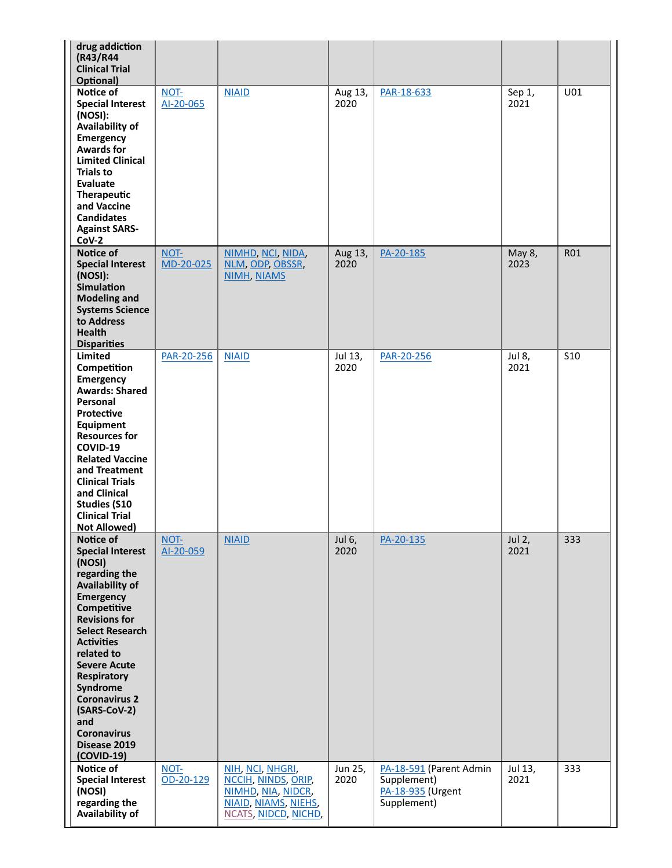| drug addiction<br>(R43/R44<br><b>Clinical Trial</b><br>Optional)                                                                                                                                                                                                                                                                                                         |                   |                                                                                                               |                 |                                                                            |                 |            |
|--------------------------------------------------------------------------------------------------------------------------------------------------------------------------------------------------------------------------------------------------------------------------------------------------------------------------------------------------------------------------|-------------------|---------------------------------------------------------------------------------------------------------------|-----------------|----------------------------------------------------------------------------|-----------------|------------|
| Notice of<br><b>Special Interest</b><br>(NOSI):<br>Availability of<br>Emergency<br><b>Awards for</b><br><b>Limited Clinical</b><br><b>Trials to</b><br>Evaluate<br>Therapeutic<br>and Vaccine<br><b>Candidates</b><br><b>Against SARS-</b><br>$Cov-2$                                                                                                                    | NOT-<br>AI-20-065 | <b>NIAID</b>                                                                                                  | Aug 13,<br>2020 | PAR-18-633                                                                 | Sep 1,<br>2021  | U01        |
| Notice of<br><b>Special Interest</b><br>(NOSI):<br><b>Simulation</b><br><b>Modeling and</b><br><b>Systems Science</b><br>to Address<br><b>Health</b><br><b>Disparities</b>                                                                                                                                                                                               | NOT-<br>MD-20-025 | NIMHD, NCI, NIDA,<br>NLM, ODP, OBSSR,<br><b>NIMH, NIAMS</b>                                                   | Aug 13,<br>2020 | PA-20-185                                                                  | May 8,<br>2023  | <b>R01</b> |
| <b>Limited</b><br>Competition<br><b>Emergency</b><br><b>Awards: Shared</b><br>Personal<br>Protective<br>Equipment<br><b>Resources for</b><br>COVID-19<br><b>Related Vaccine</b><br>and Treatment<br><b>Clinical Trials</b><br>and Clinical<br><b>Studies (S10</b><br><b>Clinical Trial</b><br><b>Not Allowed)</b>                                                        | PAR-20-256        | <b>NIAID</b>                                                                                                  | Jul 13,<br>2020 | PAR-20-256                                                                 | Jul 8,<br>2021  | <b>S10</b> |
| Notice of<br><b>Special Interest</b><br>(NOSI)<br>regarding the<br>Availability of<br><b>Emergency</b><br>Competitive<br><b>Revisions for</b><br><b>Select Research</b><br><b>Activities</b><br>related to<br><b>Severe Acute</b><br><b>Respiratory</b><br>Syndrome<br><b>Coronavirus 2</b><br>(SARS-CoV-2)<br>and<br><b>Coronavirus</b><br>Disease 2019<br>$(COVID-19)$ | NOT-<br>Al-20-059 | <b>NIAID</b>                                                                                                  | Jul 6,<br>2020  | PA-20-135                                                                  | Jul 2,<br>2021  | 333        |
| Notice of<br><b>Special Interest</b><br>(NOSI)<br>regarding the<br>Availability of                                                                                                                                                                                                                                                                                       | NOT-<br>OD-20-129 | NIH, NCI, NHGRI,<br>NCCIH, NINDS, ORIP,<br>NIMHD, NIA, NIDCR,<br>NIAID, NIAMS, NIEHS,<br>NCATS, NIDCD, NICHD, | Jun 25,<br>2020 | PA-18-591 (Parent Admin<br>Supplement)<br>PA-18-935 (Urgent<br>Supplement) | Jul 13,<br>2021 | 333        |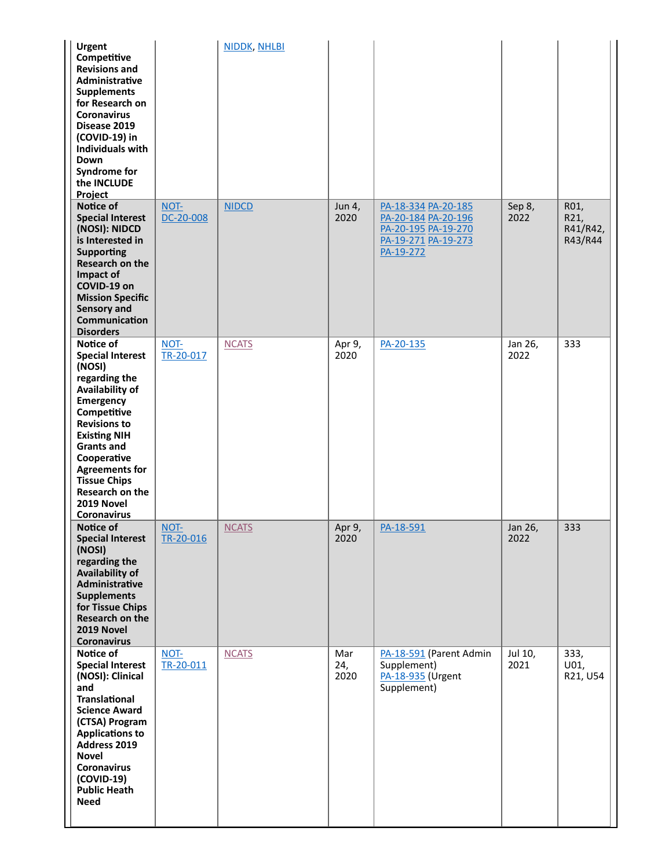| <b>Urgent</b><br>Competitive<br><b>Revisions and</b><br><b>Administrative</b><br><b>Supplements</b><br>for Research on<br><b>Coronavirus</b><br>Disease 2019<br>(COVID-19) in<br><b>Individuals with</b><br>Down<br><b>Syndrome for</b><br>the INCLUDE<br>Project                                |                   | NIDDK, NHLBI |                    |                                                                                                       |                 |                                     |
|--------------------------------------------------------------------------------------------------------------------------------------------------------------------------------------------------------------------------------------------------------------------------------------------------|-------------------|--------------|--------------------|-------------------------------------------------------------------------------------------------------|-----------------|-------------------------------------|
| Notice of<br><b>Special Interest</b><br>(NOSI): NIDCD<br>is Interested in<br><b>Supporting</b><br>Research on the<br>Impact of<br>COVID-19 on<br><b>Mission Specific</b><br><b>Sensory and</b><br>Communication<br><b>Disorders</b>                                                              | NOT-<br>DC-20-008 | <b>NIDCD</b> | Jun 4,<br>2020     | PA-18-334 PA-20-185<br>PA-20-184 PA-20-196<br>PA-20-195 PA-19-270<br>PA-19-271 PA-19-273<br>PA-19-272 | Sep 8,<br>2022  | R01,<br>R21,<br>R41/R42,<br>R43/R44 |
| Notice of<br><b>Special Interest</b><br>(NOSI)<br>regarding the<br>Availability of<br>Emergency<br>Competitive<br><b>Revisions to</b><br><b>Existing NIH</b><br><b>Grants and</b><br>Cooperative<br><b>Agreements for</b><br><b>Tissue Chips</b><br>Research on the<br>2019 Novel<br>Coronavirus | NOT-<br>TR-20-017 | <b>NCATS</b> | Apr 9,<br>2020     | PA-20-135                                                                                             | Jan 26,<br>2022 | 333                                 |
| Notice of<br><b>Special Interest</b><br>(NOSI)<br>regarding the<br>Availability of<br>Administrative<br><b>Supplements</b><br>for Tissue Chips<br><b>Research on the</b><br>2019 Novel<br><b>Coronavirus</b>                                                                                     | NOT-<br>TR-20-016 | <b>NCATS</b> | Apr 9,<br>2020     | PA-18-591                                                                                             | Jan 26,<br>2022 | 333                                 |
| Notice of<br><b>Special Interest</b><br>(NOSI): Clinical<br>and<br><b>Translational</b><br><b>Science Award</b><br>(CTSA) Program<br><b>Applications to</b><br>Address 2019<br><b>Novel</b><br><b>Coronavirus</b><br>$(COVID-19)$<br><b>Public Heath</b><br><b>Need</b>                          | NOT-<br>TR-20-011 | <b>NCATS</b> | Mar<br>24,<br>2020 | PA-18-591 (Parent Admin<br>Supplement)<br>PA-18-935 (Urgent<br>Supplement)                            | Jul 10,<br>2021 | 333,<br>U01,<br>R21, U54            |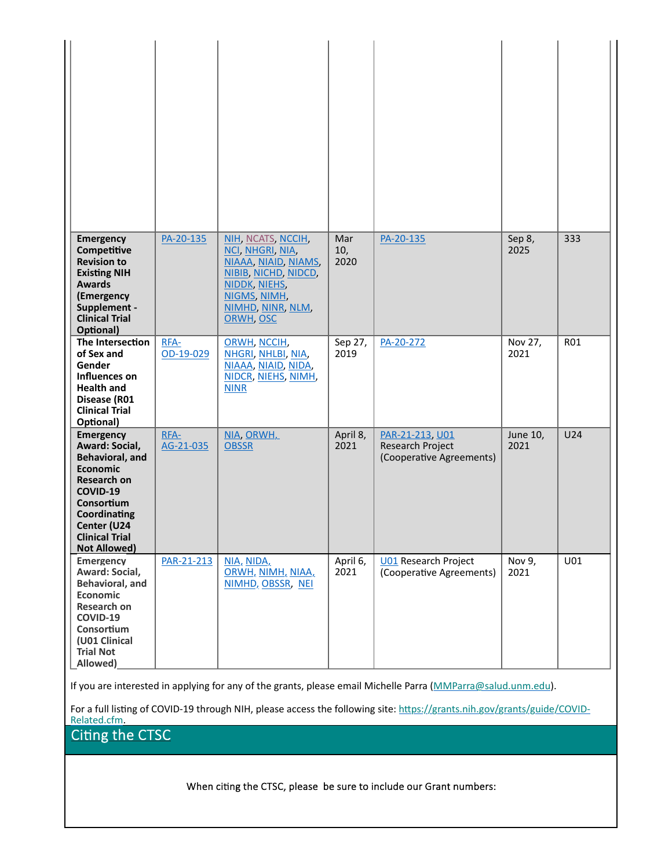| <b>Emergency</b><br>Competitive<br><b>Revision to</b><br><b>Existing NIH</b><br><b>Awards</b><br>(Emergency<br>Supplement -<br><b>Clinical Trial</b><br>Optional)                                              | PA-20-135         | NIH, NCATS, NCCIH,<br>NCI, NHGRI, NIA,<br>NIAAA, NIAID, NIAMS,<br>NIBIB, NICHD, NIDCD,<br>NIDDK, NIEHS,<br>NIGMS, NIMH,<br>NIMHD, NINR, NLM,<br>ORWH, OSC | Mar<br>10,<br>2020 | PA-20-135                                                              | Sep 8,<br>2025   | 333 |
|----------------------------------------------------------------------------------------------------------------------------------------------------------------------------------------------------------------|-------------------|-----------------------------------------------------------------------------------------------------------------------------------------------------------|--------------------|------------------------------------------------------------------------|------------------|-----|
| The Intersection<br>of Sex and<br>Gender<br>Influences on<br><b>Health and</b><br>Disease (R01<br><b>Clinical Trial</b><br>Optional)                                                                           | RFA-<br>OD-19-029 | ORWH, NCCIH,<br>NHGRI, NHLBI, NIA,<br>NIAAA, NIAID, NIDA,<br>NIDCR, NIEHS, NIMH,<br><b>NINR</b>                                                           | Sep 27,<br>2019    | PA-20-272                                                              | Nov 27,<br>2021  | R01 |
| <b>Emergency</b><br>Award: Social,<br><b>Behavioral, and</b><br><b>Economic</b><br><b>Research on</b><br>COVID-19<br>Consortium<br>Coordinating<br>Center (U24<br><b>Clinical Trial</b><br><b>Not Allowed)</b> | RFA-<br>AG-21-035 | NIA, ORWH,<br><b>OBSSR</b>                                                                                                                                | April 8,<br>2021   | PAR-21-213, U01<br><b>Research Project</b><br>(Cooperative Agreements) | June 10,<br>2021 | U24 |
| <b>Emergency</b><br>Award: Social,<br>Behavioral, and<br><b>Economic</b><br><b>Research on</b><br>COVID-19<br>Consortium<br>(U01 Clinical<br><b>Trial Not</b><br>Allowed)                                      | PAR-21-213        | NIA, NIDA,<br>ORWH, NIMH, NIAA,<br>NIMHD, OBSSR, NEI                                                                                                      | April 6,<br>2021   | <b>U01</b> Research Project<br>(Cooperative Agreements)                | Nov 9,<br>2021   | U01 |

If you are interested in applying for any of the grants, please email Michelle Parra (MMParra@salud.unm.edu).

For a full listing of COVID-19 through NIH, please access the following site: https://grants.nih.gov/grants/guide/COVID-Related.cfm.

Citing the CTSC

When citing the CTSC, please be sure to include our Grant numbers: